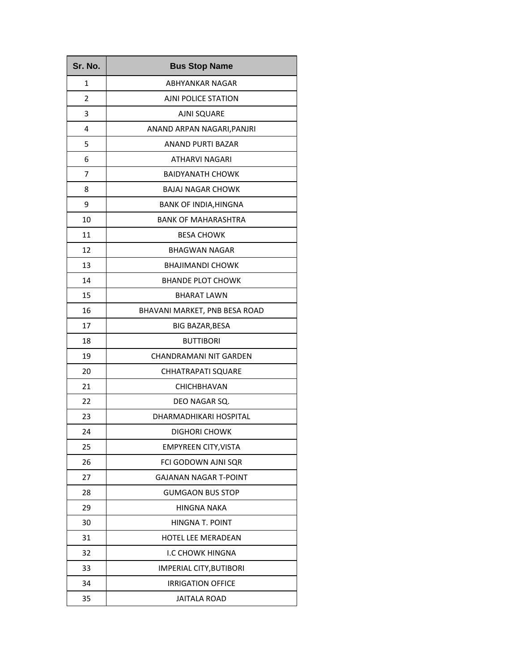| Sr. No. | <b>Bus Stop Name</b>          |
|---------|-------------------------------|
| 1       | ABHYANKAR NAGAR               |
| 2       | AJNI POLICE STATION           |
| 3       | <b>AJNI SQUARE</b>            |
| 4       | ANAND ARPAN NAGARI, PANJRI    |
| 5       | <b>ANAND PURTI BAZAR</b>      |
| 6       | ATHARVI NAGARI                |
| 7       | <b>BAIDYANATH CHOWK</b>       |
| 8       | <b>BAJAJ NAGAR CHOWK</b>      |
| 9       | BANK OF INDIA, HINGNA         |
| 10      | <b>BANK OF MAHARASHTRA</b>    |
| 11      | <b>BESA CHOWK</b>             |
| 12      | <b>BHAGWAN NAGAR</b>          |
| 13      | <b>BHAJIMANDI CHOWK</b>       |
| 14      | <b>BHANDE PLOT CHOWK</b>      |
| 15      | <b>BHARAT LAWN</b>            |
| 16      | BHAVANI MARKET, PNB BESA ROAD |
| 17      | BIG BAZAR, BESA               |
| 18      | <b>BUTTIBORI</b>              |
| 19      | CHANDRAMANI NIT GARDEN        |
| 20      | <b>CHHATRAPATI SQUARE</b>     |
| 21      | CHICHBHAVAN                   |
| 22      | DEO NAGAR SQ.                 |
| 23      | DHARMADHIKARI HOSPITAL        |
| 24      | <b>DIGHORI CHOWK</b>          |
| 25      | <b>EMPYREEN CITY, VISTA</b>   |
| 26      | FCI GODOWN AJNI SQR           |
| 27      | <b>GAJANAN NAGAR T-POINT</b>  |
| 28      | <b>GUMGAON BUS STOP</b>       |
| 29      | <b>HINGNA NAKA</b>            |
| 30      | HINGNA T. POINT               |
| 31      | <b>HOTEL LEE MERADEAN</b>     |
| 32      | <b>I.C CHOWK HINGNA</b>       |
| 33      | IMPERIAL CITY, BUTIBORI       |
| 34      | <b>IRRIGATION OFFICE</b>      |
| 35      | <b>JAITALA ROAD</b>           |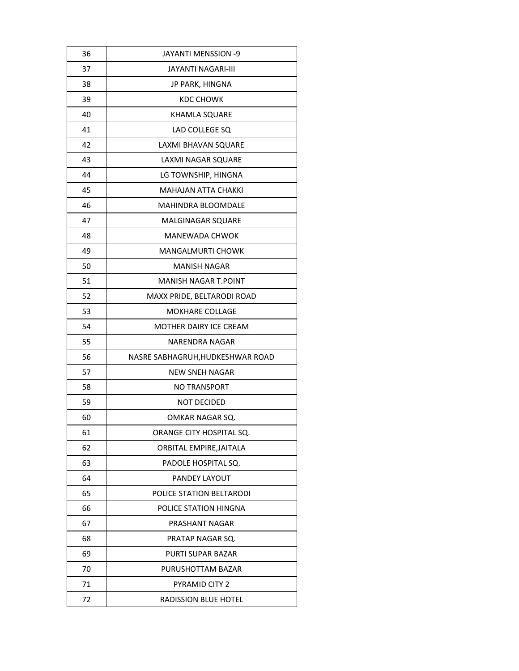| 36 | JAYANTI MENSSION -9              |
|----|----------------------------------|
| 37 | JAYANTI NAGARI-III               |
| 38 | JP PARK, HINGNA                  |
| 39 | KDC CHOWK                        |
| 40 | KHAMLA SQUARE                    |
| 41 | LAD COLLEGE SQ                   |
| 42 | LAXMI BHAVAN SQUARE              |
| 43 | <b>LAXMI NAGAR SQUARE</b>        |
| 44 | LG TOWNSHIP, HINGNA              |
| 45 | <b>MAHAJAN ATTA CHAKKI</b>       |
| 46 | MAHINDRA BLOOMDALE               |
| 47 | <b>MALGINAGAR SQUARE</b>         |
| 48 | MANEWADA CHWOK                   |
| 49 | MANGALMURTI CHOWK                |
| 50 | MANISH NAGAR                     |
| 51 | MANISH NAGAR T.POINT             |
| 52 | MAXX PRIDE, BELTARODI ROAD       |
| 53 | MOKHARE COLLAGE                  |
| 54 | <b>MOTHER DAIRY ICE CREAM</b>    |
| 55 | NARENDRA NAGAR                   |
| 56 | NASRE SABHAGRUH, HUDKESHWAR ROAD |
| 57 | NEW SNEH NAGAR                   |
| 58 | <b>NO TRANSPORT</b>              |
| 59 | NOT DECIDED                      |
| 60 | OMKAR NAGAR SO.                  |
| 61 | ORANGE CITY HOSPITAL SQ.         |
| 62 | ORBITAL EMPIRE, JAITALA          |
| 63 | PADOLE HOSPITAL SQ.              |
| 64 | PANDEY LAYOUT                    |
| 65 | POLICE STATION BELTARODI         |
| 66 | POLICE STATION HINGNA            |
| 67 | PRASHANT NAGAR                   |
| 68 | PRATAP NAGAR SQ.                 |
| 69 | PURTI SUPAR BAZAR                |
| 70 | PURUSHOTTAM BAZAR                |
| 71 | <b>PYRAMID CITY 2</b>            |
| 72 | <b>RADISSION BLUE HOTEL</b>      |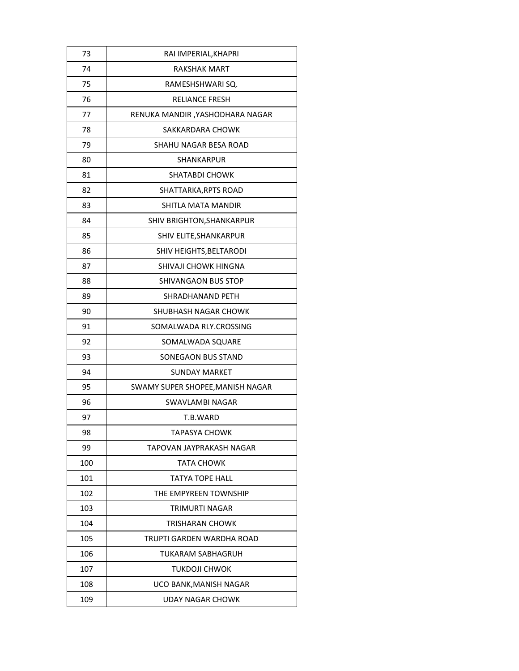| 73  | RAI IMPERIAL, KHAPRI             |
|-----|----------------------------------|
| 74  | <b>RAKSHAK MART</b>              |
| 75  | RAMESHSHWARI SQ.                 |
| 76  | <b>RELIANCE FRESH</b>            |
| 77  | RENUKA MANDIR , YASHODHARA NAGAR |
| 78  | SAKKARDARA CHOWK                 |
| 79  | SHAHU NAGAR BESA ROAD            |
| 80  | <b>SHANKARPUR</b>                |
| 81  | <b>SHATABDI CHOWK</b>            |
| 82  | SHATTARKA, RPTS ROAD             |
| 83  | SHITLA MATA MANDIR               |
| 84  | SHIV BRIGHTON, SHANKARPUR        |
| 85  | SHIV ELITE, SHANKARPUR           |
| 86  | SHIV HEIGHTS, BELTARODI          |
| 87  | <b>SHIVAJI CHOWK HINGNA</b>      |
| 88  | SHIVANGAON BUS STOP              |
| 89  | SHRADHANAND PETH                 |
| 90  | SHUBHASH NAGAR CHOWK             |
| 91  | SOMALWADA RLY.CROSSING           |
| 92  | SOMALWADA SQUARE                 |
| 93  | SONEGAON BUS STAND               |
| 94  | SUNDAY MARKET                    |
| 95  | SWAMY SUPER SHOPEE, MANISH NAGAR |
| 96  | <b>SWAVLAMBI NAGAR</b>           |
| 97  | T.B.WARD                         |
| 98  | TAPASYA CHOWK                    |
| 99  | TAPOVAN JAYPRAKASH NAGAR         |
| 100 | TATA CHOWK                       |
| 101 | <b>TATYA TOPE HALL</b>           |
| 102 | THE EMPYREEN TOWNSHIP            |
| 103 | TRIMURTI NAGAR                   |
| 104 | TRISHARAN CHOWK                  |
| 105 | TRUPTI GARDEN WARDHA ROAD        |
| 106 | <b>TUKARAM SABHAGRUH</b>         |
| 107 | <b>TUKDOJI CHWOK</b>             |
| 108 | UCO BANK, MANISH NAGAR           |
| 109 | <b>UDAY NAGAR CHOWK</b>          |